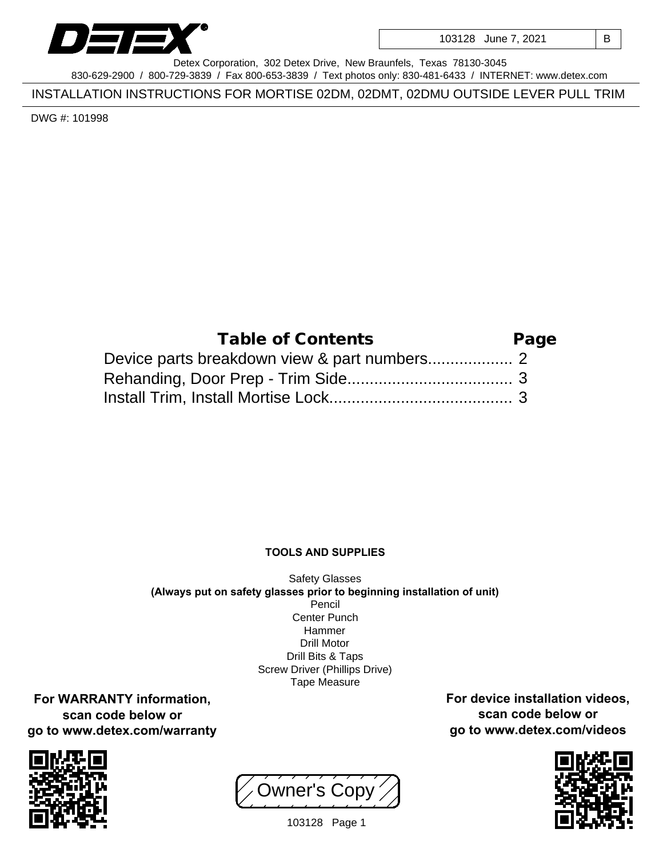

103128 June 7, 2021 | B

Detex Corporation, 302 Detex Drive, New Braunfels, Texas 78130-3045 830-629-2900 / 800-729-3839 / Fax 800-653-3839 / Text photos only: 830-481-6433 / INTERNET: www.detex.com

INSTALLATION INSTRUCTIONS FOR MORTISE 02DM, 02DMT, 02DMU OUTSIDE LEVER PULL TRIM

DWG #: 101998

| Table of Contents | Page |
|-------------------|------|
|                   |      |
|                   |      |
|                   |      |

## **TOOLS AND SUPPLIES**

Safety Glasses **(Always put on safety glasses prior to beginning installation of unit)** Pencil Center Punch Hammer Drill Motor Drill Bits & Taps Screw Driver (Phillips Drive) Tape Measure

**For WARRANTY information, scan code below or go to www.detex.com/warranty**



Owner's Copy



**For device installation videos, scan code below or go to www.detex.com/videos**

103128 Page 1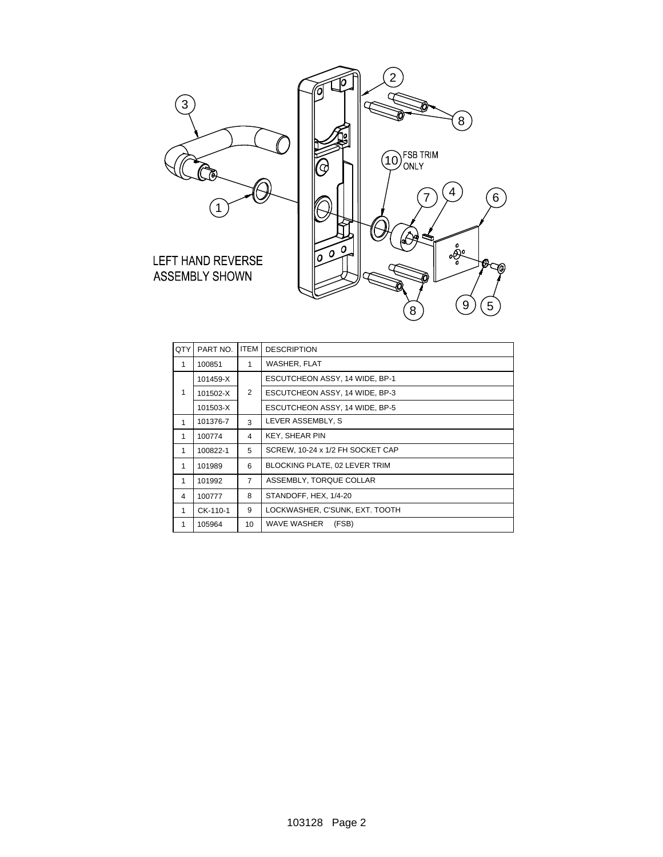

| QTY | PART NO. | <b>ITEM</b>    | <b>DESCRIPTION</b>               |
|-----|----------|----------------|----------------------------------|
| 1   | 100851   | 1              | WASHER, FLAT                     |
| 1   | 101459-X | 2              | ESCUTCHEON ASSY, 14 WIDE, BP-1   |
|     | 101502-X |                | ESCUTCHEON ASSY, 14 WIDE, BP-3   |
|     | 101503-X |                | ESCUTCHEON ASSY, 14 WIDE, BP-5   |
| 1   | 101376-7 | 3              | LEVER ASSEMBLY. S                |
| 1   | 100774   | 4              | <b>KEY, SHEAR PIN</b>            |
| 1   | 100822-1 | 5              | SCREW, 10-24 x 1/2 FH SOCKET CAP |
| 1   | 101989   | 6              | BLOCKING PLATE, 02 LEVER TRIM    |
| 1   | 101992   | $\overline{7}$ | ASSEMBLY, TORQUE COLLAR          |
| 4   | 100777   | 8              | STANDOFF, HEX, 1/4-20            |
| 1   | CK-110-1 | 9              | LOCKWASHER, C'SUNK, EXT. TOOTH   |
| 1   | 105964   | 10             | WAVE WASHER<br>(FSB)             |